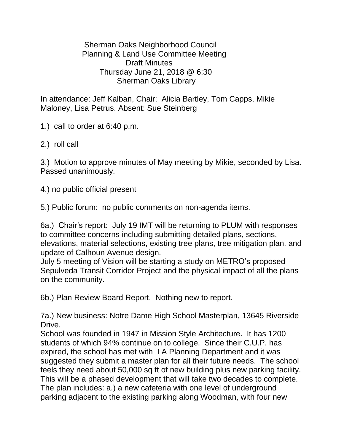Sherman Oaks Neighborhood Council Planning & Land Use Committee Meeting Draft Minutes Thursday June 21, 2018 @ 6:30 Sherman Oaks Library

In attendance: Jeff Kalban, Chair; Alicia Bartley, Tom Capps, Mikie Maloney, Lisa Petrus. Absent: Sue Steinberg

1.) call to order at 6:40 p.m.

2.) roll call

3.) Motion to approve minutes of May meeting by Mikie, seconded by Lisa. Passed unanimously.

4.) no public official present

5.) Public forum: no public comments on non-agenda items.

6a.) Chair's report: July 19 IMT will be returning to PLUM with responses to committee concerns including submitting detailed plans, sections, elevations, material selections, existing tree plans, tree mitigation plan. and update of Calhoun Avenue design.

July 5 meeting of Vision will be starting a study on METRO's proposed Sepulveda Transit Corridor Project and the physical impact of all the plans on the community.

6b.) Plan Review Board Report. Nothing new to report.

7a.) New business: Notre Dame High School Masterplan, 13645 Riverside Drive.

School was founded in 1947 in Mission Style Architecture. It has 1200 students of which 94% continue on to college. Since their C.U.P. has expired, the school has met with LA Planning Department and it was suggested they submit a master plan for all their future needs. The school feels they need about 50,000 sq ft of new building plus new parking facility. This will be a phased development that will take two decades to complete. The plan includes: a.) a new cafeteria with one level of underground parking adjacent to the existing parking along Woodman, with four new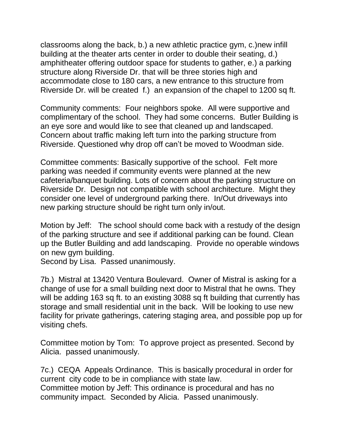classrooms along the back, b.) a new athletic practice gym, c.)new infill building at the theater arts center in order to double their seating, d.) amphitheater offering outdoor space for students to gather, e.) a parking structure along Riverside Dr. that will be three stories high and accommodate close to 180 cars, a new entrance to this structure from Riverside Dr. will be created f.) an expansion of the chapel to 1200 sq ft.

Community comments: Four neighbors spoke. All were supportive and complimentary of the school. They had some concerns. Butler Building is an eye sore and would like to see that cleaned up and landscaped. Concern about traffic making left turn into the parking structure from Riverside. Questioned why drop off can't be moved to Woodman side.

Committee comments: Basically supportive of the school. Felt more parking was needed if community events were planned at the new cafeteria/banquet building. Lots of concern about the parking structure on Riverside Dr. Design not compatible with school architecture. Might they consider one level of underground parking there. In/Out driveways into new parking structure should be right turn only in/out.

Motion by Jeff: The school should come back with a restudy of the design of the parking structure and see if additional parking can be found. Clean up the Butler Building and add landscaping. Provide no operable windows on new gym building.

Second by Lisa. Passed unanimously.

7b.) Mistral at 13420 Ventura Boulevard. Owner of Mistral is asking for a change of use for a small building next door to Mistral that he owns. They will be adding 163 sq ft. to an existing 3088 sq ft building that currently has storage and small residential unit in the back. Will be looking to use new facility for private gatherings, catering staging area, and possible pop up for visiting chefs.

Committee motion by Tom: To approve project as presented. Second by Alicia. passed unanimously.

7c.) CEQA Appeals Ordinance. This is basically procedural in order for current city code to be in compliance with state law. Committee motion by Jeff: This ordinance is procedural and has no community impact. Seconded by Alicia. Passed unanimously.